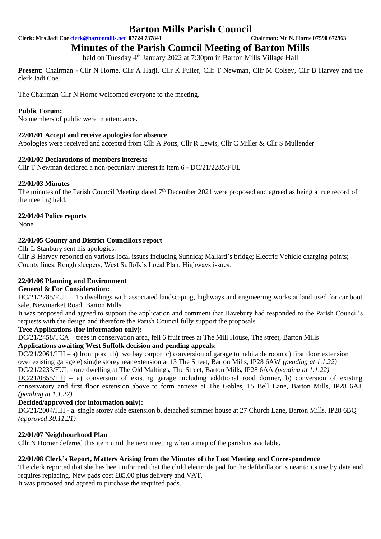# **Barton Mills Parish Council**<br>07724 737841<br>Chairman: Mr N. Horne 07590 672963

**Clerk: Mrs Jadi Coe clerk@bartonmills.net** 07724 737841

## **Minutes of the Parish Council Meeting of Barton Mills**

held on Tuesday 4<sup>th</sup> January 2022 at 7:30pm in Barton Mills Village Hall

**Present:** Chairman - Cllr N Horne, Cllr A Harji, Cllr K Fuller, Cllr T Newman, Cllr M Colsey, Cllr B Harvey and the clerk Jadi Coe.

The Chairman Cllr N Horne welcomed everyone to the meeting.

#### **Public Forum:**

No members of public were in attendance.

#### **22/01/01 Accept and receive apologies for absence**

Apologies were received and accepted from Cllr A Potts, Cllr R Lewis, Cllr C Miller & Cllr S Mullender

#### **22/01/02 Declarations of members interests**

Cllr T Newman declared a non-pecuniary interest in item 6 - DC/21/2285/FUL

#### **22/01/03 Minutes**

The minutes of the Parish Council Meeting dated 7<sup>th</sup> December 2021 were proposed and agreed as being a true record of the meeting held.

#### **22/01/04 Police reports**

None

#### **22/01/05 County and District Councillors report**

Cllr L Stanbury sent his apologies.

Cllr B Harvey reported on various local issues including Sunnica; Mallard's bridge; Electric Vehicle charging points; County lines, Rough sleepers; West Suffolk's Local Plan; Highways issues.

#### **22/01/06 Planning and Environment**

#### **General & For Consideration:**

DC/21/2285/FUL – 15 dwellings with associated landscaping, highways and engineering works at land used for car boot sale, Newmarket Road, Barton Mills

It was proposed and agreed to support the application and comment that Havebury had responded to the Parish Council's requests with the design and therefore the Parish Council fully support the proposals.

#### **Tree Applications (for information only):**

DC/21/2458/TCA – trees in conservation area, fell 6 fruit trees at The Mill House, The street, Barton Mills

#### **Applications awaiting West Suffolk decision and pending appeals:**

DC/21/2061/HH – a) front porch b) two bay carport c) conversion of garage to habitable room d) first floor extension over existing garage e) single storey rear extension at 13 The Street, Barton Mills, IP28 6AW *(pending at 1.1.22)*

DC/21/2233/FUL - one dwelling at The Old Maltings, The Street, Barton Mills, IP28 6AA *(pending at 1.1.22)*

DC/21/0855/HH – a) conversion of existing garage including additional rood dormer, b) conversion of existing conservatory and first floor extension above to form annexe at The Gables, 15 Bell Lane, Barton Mills, IP28 6AJ. *(pending at 1.1.22)*

#### **Decided/approved (for information only):**

DC/21/2004/HH - a. single storey side extension b. detached summer house at 27 Church Lane, Barton Mills, IP28 6BQ *(approved 30.11.21)*

#### **22/01/07 Neighbourhood Plan**

Cllr N Horner deferred this item until the next meeting when a map of the parish is available.

#### **22/01/08 Clerk's Report, Matters Arising from the Minutes of the Last Meeting and Correspondence**

The clerk reported that she has been informed that the child electrode pad for the defibrillator is near to its use by date and requires replacing. New pads cost £85.00 plus delivery and VAT.

It was proposed and agreed to purchase the required pads.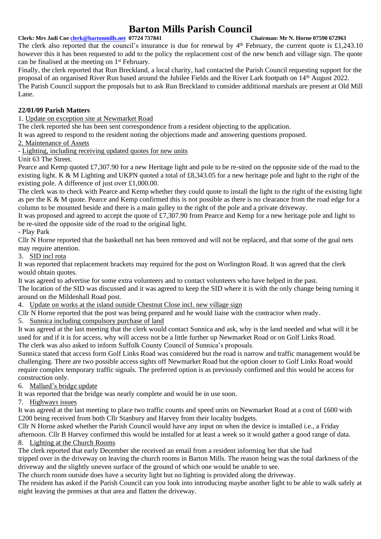## **Barton Mills Parish Council**<br> **Chairman: Mr N. Horne 07590 672963**<br> **Chairman: Mr N. Horne 07590 672963**

#### **Clerk: Mrs Jadi Coe [clerk@bartonmills.net](mailto:clerk@bartonmills.net) 07724 737841**

The clerk also reported that the council's insurance is due for renewal by  $4<sup>th</sup>$  February, the current quote is £1,243.10 however this it has been requested to add to the policy the replacement cost of the new bench and village sign. The quote can be finalised at the meeting on 1st February.

Finally, the clerk reported that Run Breckland, a local charity, had contacted the Parish Council requesting support for the proposal of an organised River Run based around the Jubilee Fields and the River Lark footpath on 14th August 2022. The Parish Council support the proposals but to ask Run Breckland to consider additional marshals are present at Old Mill Lane.

#### **22/01/09 Parish Matters**

1. Update on exception site at Newmarket Road

The clerk reported she has been sent correspondence from a resident objecting to the application.

It was agreed to respond to the resident noting the objections made and answering questions proposed.

2. Maintenance of Assets

- Lighting, including receiving updated quotes for new units

Unit 63 The Street.

Pearce and Kemp quoted £7,307.90 for a new Heritage light and pole to be re-sited on the opposite side of the road to the existing light. K & M Lighting and UKPN quoted a total of £8,343.05 for a new heritage pole and light to the right of the existing pole. A difference of just over £1,000.00.

The clerk was to check with Pearce and Kemp whether they could quote to install the light to the right of the existing light as per the K & M quote. Pearce and Kemp confirmed this is not possible as there is no clearance from the road edge for a column to be mounted beside and there is a main gulley to the right of the pole and a private driveway.

It was proposed and agreed to accept the quote of £7,307.90 from Pearce and Kemp for a new heritage pole and light to be re-sited the opposite side of the road to the original light.

- Play Park

Cllr N Horne reported that the basketball net has been removed and will not be replaced, and that some of the goal nets may require attention.

3. SID incl rota

It was reported that replacement brackets may required for the post on Worlington Road. It was agreed that the clerk would obtain quotes.

It was agreed to advertise for some extra volunteers and to contact volunteers who have helped in the past.

The location of the SID was discussed and it was agreed to keep the SID where it is with the only change being turning it around on the Mildenhall Road post.

4. Update on works at the island outside Chestnut Close incl. new village sign

Cllr N Horne reported that the post was being prepared and he would liaise with the contractor when ready.

5. Sunnica including compulsory purchase of land

It was agreed at the last meeting that the clerk would contact Sunnica and ask, why is the land needed and what will it be used for and if it is for access, why will access not be a little further up Newmarket Road or on Golf Links Road. The clerk was also asked to inform Suffolk County Council of Sunnica's proposals.

Sunnica stated that access form Golf Links Road was considered but the road is narrow and traffic management would be challenging. There are two possible access sights off Newmarket Road but the option closer to Golf Links Road would require complex temporary traffic signals. The preferred option is as previously confirmed and this would be access for construction only.

6. Mallard's bridge update

It was reported that the bridge was nearly complete and would be in use soon.

7. Highways issues

It was agreed at the last meeting to place two traffic counts and speed units on Newmarket Road at a cost of £600 with £200 being received from both Cllr Stanbury and Harvey from their locality budgets.

Cllr N Horne asked whether the Parish Council would have any input on when the device is installed i.e., a Friday afternoon. Cllr B Harvey confirmed this would be installed for at least a week so it would gather a good range of data. 8. Lighting at the Church Rooms

The clerk reported that early December she received an email from a resident informing her that she had

tripped over in the driveway on leaving the church rooms in Barton Mills. The reason being was the total darkness of the driveway and the slightly uneven surface of the ground of which one would be unable to see.

The church room outside does have a security light but no lighting is provided along the driveway.

The resident has asked if the Parish Council can you look into introducing maybe another light to be able to walk safely at night leaving the premises at that area and flatten the driveway.